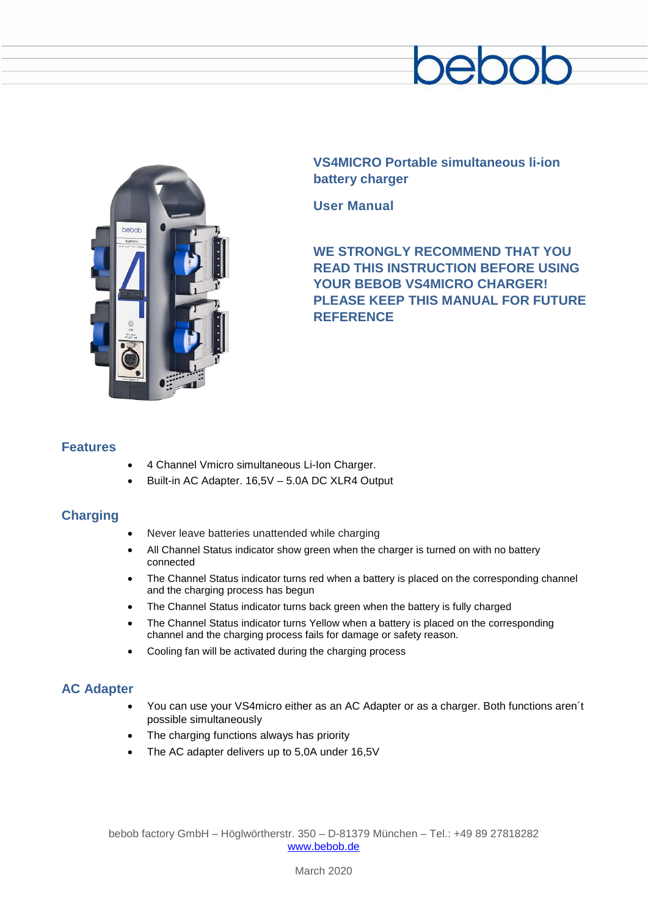



**VS4MICRO Portable simultaneous li-ion battery charger**

**User Manual**

**WE STRONGLY RECOMMEND THAT YOU READ THIS INSTRUCTION BEFORE USING YOUR BEBOB VS4MICRO CHARGER! PLEASE KEEP THIS MANUAL FOR FUTURE REFERENCE**

## **Features**

- 4 Channel Vmicro simultaneous Li-Ion Charger.
- Built-in AC Adapter. 16,5V 5.0A DC XLR4 Output

# **Charging**

- Never leave batteries unattended while charging
- All Channel Status indicator show green when the charger is turned on with no battery connected
- The Channel Status indicator turns red when a battery is placed on the corresponding channel and the charging process has begun
- The Channel Status indicator turns back green when the battery is fully charged
- The Channel Status indicator turns Yellow when a battery is placed on the corresponding channel and the charging process fails for damage or safety reason.
- Cooling fan will be activated during the charging process

# **AC Adapter**

- You can use your VS4micro either as an AC Adapter or as a charger. Both functions aren´t possible simultaneously
- The charging functions always has priority
- The AC adapter delivers up to 5,0A under 16,5V